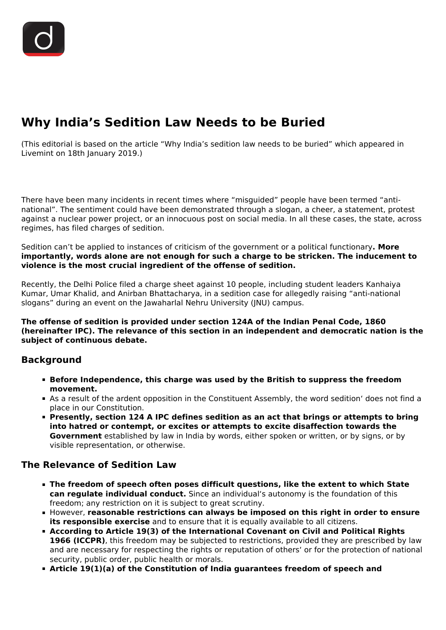# **Why India's Sedition Law Needs to be Buried**

(This editorial is based on the article "Why India's sedition law needs to be buried" which appeared in Livemint on 18th January 2019.)

There have been many incidents in recent times where "misguided" people have been termed "antinational". The sentiment could have been demonstrated through a slogan, a cheer, a statement, protest against a nuclear power project, or an innocuous post on social media. In all these cases, the state, across regimes, has filed charges of sedition.

Sedition can't be applied to instances of criticism of the government or a political functionary**. More importantly, words alone are not enough for such a charge to be stricken. The inducement to violence is the most crucial ingredient of the offense of sedition.**

Recently, the Delhi Police filed a charge sheet against 10 people, including student leaders Kanhaiya Kumar, Umar Khalid, and Anirban Bhattacharya, in a sedition case for allegedly raising "anti-national slogans" during an event on the Jawaharlal Nehru University (JNU) campus.

**The offense of sedition is provided under section 124A of the Indian Penal Code, 1860 (hereinafter IPC). The relevance of this section in an independent and democratic nation is the subject of continuous debate.**

### **Background**

- **Before Independence, this charge was used by the British to suppress the freedom movement.**
- As a result of the ardent opposition in the Constituent Assembly, the word sedition' does not find a place in our Constitution.
- **Presently, section 124 A IPC defines sedition as an act that brings or attempts to bring into hatred or contempt, or excites or attempts to excite disaffection towards the Government** established by law in India by words, either spoken or written, or by signs, or by visible representation, or otherwise.

## **The Relevance of Sedition Law**

- **The freedom of speech often poses difficult questions, like the extent to which State can regulate individual conduct.** Since an individual's autonomy is the foundation of this freedom; any restriction on it is subject to great scrutiny.
- However, **reasonable restrictions can always be imposed on this right in order to ensure its responsible exercise** and to ensure that it is equally available to all citizens.
- **According to Article 19(3) of the International Covenant on Civil and Political Rights 1966 (ICCPR)**, this freedom may be subjected to restrictions, provided they are prescribed by law and are necessary for respecting the rights or reputation of others' or for the protection of national security, public order, public health or morals.
- **Article 19(1)(a) of the Constitution of India guarantees freedom of speech and**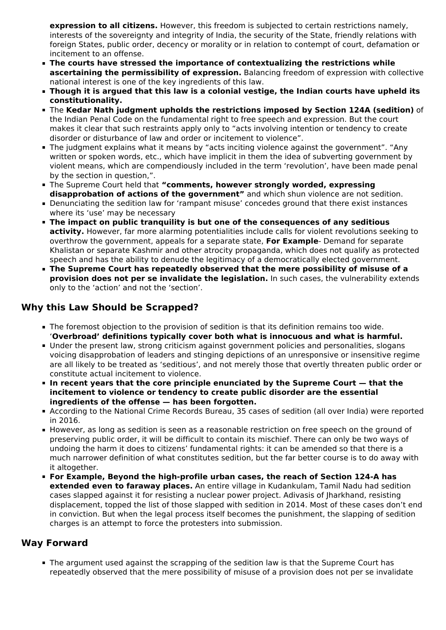**expression to all citizens.** However, this freedom is subjected to certain restrictions namely, interests of the sovereignty and integrity of India, the security of the State, friendly relations with foreign States, public order, decency or morality or in relation to contempt of court, defamation or incitement to an offense.

- **The courts have stressed the importance of contextualizing the restrictions while ascertaining the permissibility of expression.** Balancing freedom of expression with collective national interest is one of the key ingredients of this law.
- **Though it is argued that this law is a colonial vestige, the Indian courts have upheld its constitutionality.**
- The **Kedar Nath judgment upholds the restrictions imposed by Section 124A (sedition)** of the Indian Penal Code on the fundamental right to free speech and expression. But the court makes it clear that such restraints apply only to "acts involving intention or tendency to create disorder or disturbance of law and order or incitement to violence".
- The judgment explains what it means by "acts inciting violence against the government". "Any written or spoken words, etc., which have implicit in them the idea of subverting government by violent means, which are compendiously included in the term 'revolution', have been made penal by the section in question,".
- The Supreme Court held that **"comments, however strongly worded, expressing disapprobation of actions of the government"** and which shun violence are not sedition.
- Denunciating the sedition law for 'rampant misuse' concedes ground that there exist instances where its 'use' may be necessary
- **The impact on public tranquility is but one of the consequences of any seditious activity.** However, far more alarming potentialities include calls for violent revolutions seeking to overthrow the government, appeals for a separate state, **For Example**- Demand for separate Khalistan or separate Kashmir and other atrocity propaganda, which does not qualify as protected speech and has the ability to denude the legitimacy of a democratically elected government.
- **The Supreme Court has repeatedly observed that the mere possibility of misuse of a provision does not per se invalidate the legislation.** In such cases, the vulnerability extends only to the 'action' and not the 'section'.

# **Why this Law Should be Scrapped?**

- The foremost objection to the provision of sedition is that its definition remains too wide. '**Overbroad' definitions typically cover both what is innocuous and what is harmful.**
- Under the present law, strong criticism against government policies and personalities, slogans voicing disapprobation of leaders and stinging depictions of an unresponsive or insensitive regime are all likely to be treated as 'seditious', and not merely those that overtly threaten public order or constitute actual incitement to violence.
- **In recent years that the core principle enunciated by the Supreme Court that the incitement to violence or tendency to create public disorder are the essential ingredients of the offense — has been forgotten.**
- According to the National Crime Records Bureau, 35 cases of sedition (all over India) were reported in 2016.
- **However, as long as sedition is seen as a reasonable restriction on free speech on the ground of** preserving public order, it will be difficult to contain its mischief. There can only be two ways of undoing the harm it does to citizens' fundamental rights: it can be amended so that there is a much narrower definition of what constitutes sedition, but the far better course is to do away with it altogether.
- **For Example, Beyond the high-profile urban cases, the reach of Section 124-A has extended even to faraway places.** An entire village in Kudankulam, Tamil Nadu had sedition cases slapped against it for resisting a nuclear power project. Adivasis of Jharkhand, resisting displacement, topped the list of those slapped with sedition in 2014. Most of these cases don't end in conviction. But when the legal process itself becomes the punishment, the slapping of sedition charges is an attempt to force the protesters into submission.

## **Way Forward**

The argument used against the scrapping of the sedition law is that the Supreme Court has repeatedly observed that the mere possibility of misuse of a provision does not per se invalidate